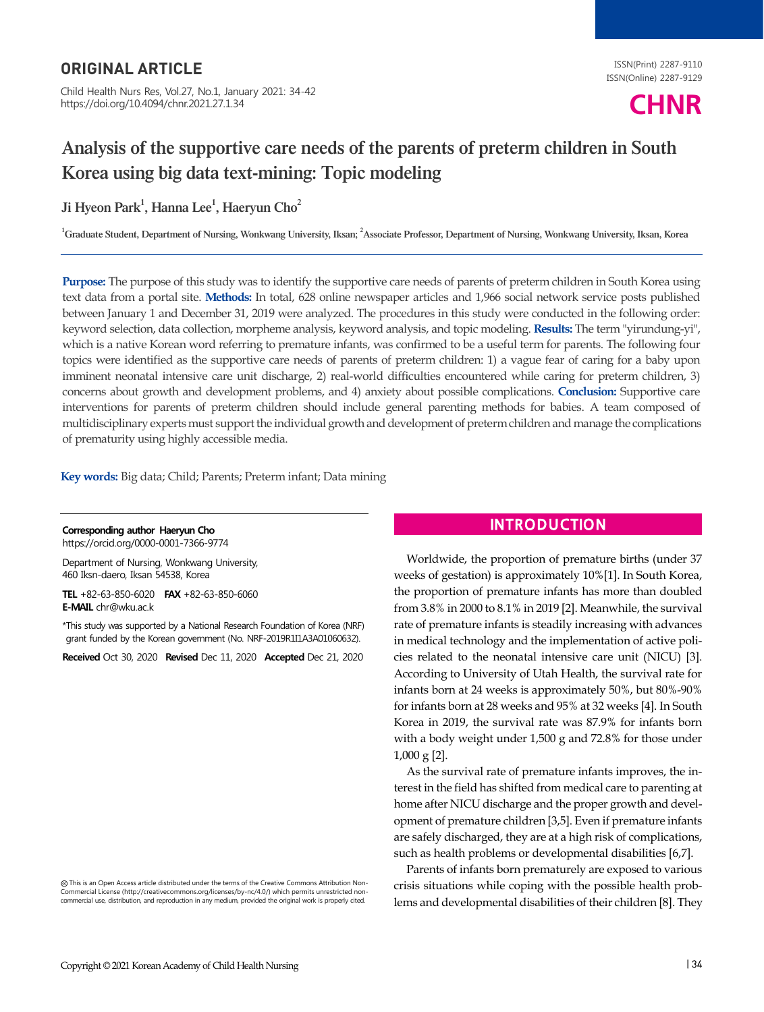# ORIGINAL ARTICLE

Child Health Nurs Res, Vol.27, No.1, January 2021: 34-42 https://doi.org/10.4094/chnr.2021.27.1.34

ISSN(Print) 2287-9110 ISSN(Online) 2287-9129



# Analysis of the supportive care needs of the parents of preterm children in South Korea using big data text-mining: Topic modeling

Ji Hyeon Park $^1$ , Hanna Lee $^1$ , Haeryun Cho $^2$ 

<sup>1</sup>Graduate Student, Department of Nursing, Wonkwang University, Iksan; <sup>2</sup>Associate Professor, Department of Nursing, Wonkwang University, Iksan, Korea

**Purpose:** The purpose of this study was to identify the supportive care needs of parents of preterm children in South Korea using text data from a portal site. **Methods:** In total, 628 online newspaper articles and 1,966 social network service posts published between January 1 and December 31, 2019 were analyzed. The procedures in this study were conducted in the following order: keyword selection, data collection, morpheme analysis, keyword analysis, and topic modeling. **Results:** The term "yirundung-yi", which is a native Korean word referring to premature infants, was confirmed to be a useful term for parents. The following four topics were identified as the supportive care needs of parents of preterm children: 1) a vague fear of caring for a baby upon imminent neonatal intensive care unit discharge, 2) real-world difficulties encountered while caring for preterm children, 3) concerns about growth and development problems, and 4) anxiety about possible complications. **Conclusion:** Supportive care interventions for parents of preterm children should include general parenting methods for babies. A team composed of multidisciplinary experts must support the individual growth and development of preterm children and manage the complications of prematurity using highly accessible media.

**Key words:** Big data; Child; Parents; Preterm infant; Data mining

**Corresponding author Haeryun Cho** https://orcid.org/0000-0001-7366-9774

Department of Nursing, Wonkwang University, 460 Iksn-daero, Iksan 54538, Korea

**TEL** +82-63-850-6020 **FAX** +82-63-850-6060 **E-MAIL** chr@wku.ac.k

\*This study was supported by a National Research Foundation of Korea (NRF) grant funded by the Korean government (No. NRF-2019R1I1A3A01060632).

**Received** Oct 30, 2020 **Revised** Dec 11, 2020 **Accepted** Dec 21, 2020

This is an Open Access article distributed under the terms of the Creative Commons Attribution Non-Commercial License (http://creativecommons.org/licenses/by-nc/4.0/) which permits unrestricted noncommercial use, distribution, and reproduction in any medium, provided the original work is properly cited.

# **INTRODUCTION**

Worldwide, the proportion of premature births (under 37 weeks of gestation) is approximately 10%[1]. In South Korea, the proportion of premature infants has more than doubled from 3.8% in 2000 to 8.1% in 2019 [2]. Meanwhile, the survival rate of premature infants is steadily increasing with advances in medical technology and the implementation of active policies related to the neonatal intensive care unit (NICU) [3]. According to University of Utah Health, the survival rate for infants born at 24 weeks is approximately 50%, but 80%-90% for infants born at 28 weeks and 95% at 32 weeks [4]. In South Korea in 2019, the survival rate was 87.9% for infants born with a body weight under 1,500 g and 72.8% for those under 1,000 g [2].

As the survival rate of premature infants improves, the interest in the field has shifted from medical care to parenting at home after NICU discharge and the proper growth and development of premature children [3,5]. Even if premature infants are safely discharged, they are at a high risk of complications, such as health problems or developmental disabilities [6,7].

Parents of infants born prematurely are exposed to various crisis situations while coping with the possible health problems and developmental disabilities of their children [8]. They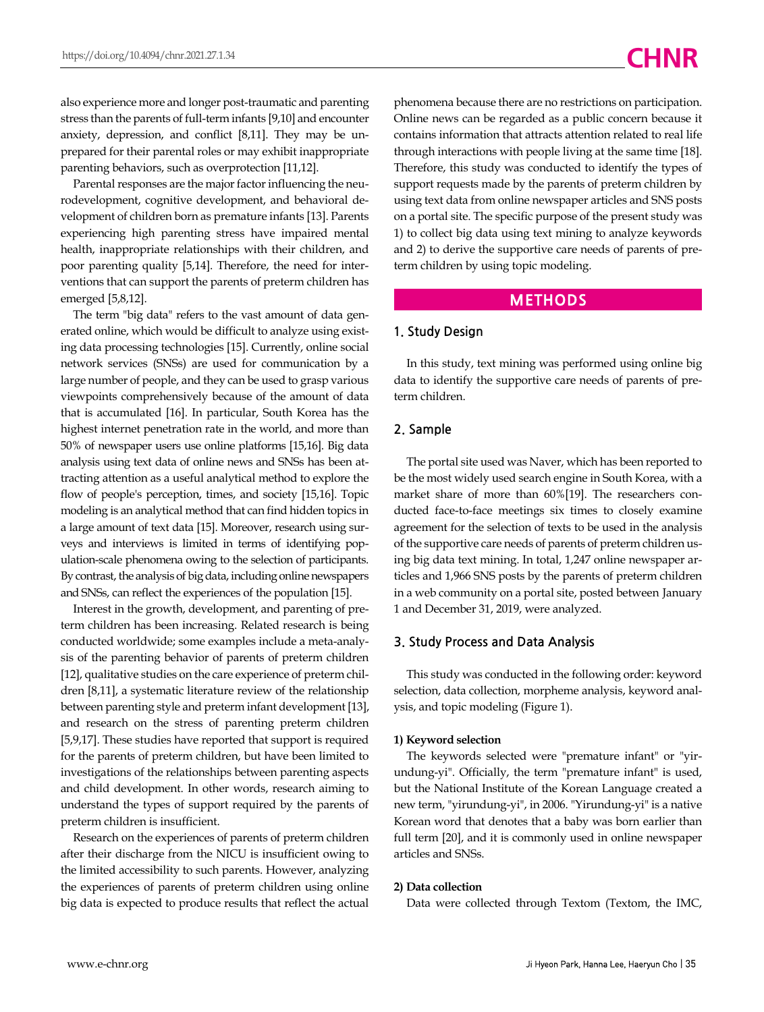also experience more and longer post-traumatic and parenting stress than the parents of full-term infants [9,10] and encounter anxiety, depression, and conflict [8,11]. They may be unprepared for their parental roles or may exhibit inappropriate parenting behaviors, such as overprotection [11,12].

Parental responses are the major factor influencing the neurodevelopment, cognitive development, and behavioral development of children born as premature infants [13]. Parents experiencing high parenting stress have impaired mental health, inappropriate relationships with their children, and poor parenting quality [5,14]. Therefore, the need for interventions that can support the parents of preterm children has emerged [5,8,12].

The term "big data" refers to the vast amount of data generated online, which would be difficult to analyze using existing data processing technologies [15]. Currently, online social network services (SNSs) are used for communication by a large number of people, and they can be used to grasp various viewpoints comprehensively because of the amount of data that is accumulated [16]. In particular, South Korea has the highest internet penetration rate in the world, and more than 50% of newspaper users use online platforms [15,16]. Big data analysis using text data of online news and SNSs has been attracting attention as a useful analytical method to explore the flow of people's perception, times, and society [15,16]. Topic modeling is an analytical method that can find hidden topics in a large amount of text data [15]. Moreover, research using surveys and interviews is limited in terms of identifying population-scale phenomena owing to the selection of participants. By contrast, the analysis of big data, including online newspapers and SNSs, can reflect the experiences of the population [15].

Interest in the growth, development, and parenting of preterm children has been increasing. Related research is being conducted worldwide; some examples include a meta-analysis of the parenting behavior of parents of preterm children [12], qualitative studies on the care experience of preterm children [8,11], a systematic literature review of the relationship between parenting style and preterm infant development [13], and research on the stress of parenting preterm children [5,9,17]. These studies have reported that support is required for the parents of preterm children, but have been limited to investigations of the relationships between parenting aspects and child development. In other words, research aiming to understand the types of support required by the parents of preterm children is insufficient.

Research on the experiences of parents of preterm children after their discharge from the NICU is insufficient owing to the limited accessibility to such parents. However, analyzing the experiences of parents of preterm children using online big data is expected to produce results that reflect the actual

phenomena because there are no restrictions on participation. Online news can be regarded as a public concern because it contains information that attracts attention related to real life through interactions with people living at the same time [18]. Therefore, this study was conducted to identify the types of support requests made by the parents of preterm children by using text data from online newspaper articles and SNS posts on a portal site. The specific purpose of the present study was 1) to collect big data using text mining to analyze keywords and 2) to derive the supportive care needs of parents of preterm children by using topic modeling.

#### **METHODS**

#### **1. Study Design**

In this study, text mining was performed using online big data to identify the supportive care needs of parents of preterm children.

#### **2. Sample**

The portal site used was Naver, which has been reported to be the most widely used search engine in South Korea, with a market share of more than 60%[19]. The researchers conducted face-to-face meetings six times to closely examine agreement for the selection of texts to be used in the analysis of the supportive care needs of parents of preterm children using big data text mining. In total, 1,247 online newspaper articles and 1,966 SNS posts by the parents of preterm children in a web community on a portal site, posted between January 1 and December 31, 2019, were analyzed.

#### **3. Study Process and Data Analysis**

This study was conducted in the following order: keyword selection, data collection, morpheme analysis, keyword analysis, and topic modeling (Figure 1).

#### **1) Keyword selection**

The keywords selected were "premature infant" or "yirundung-yi". Officially, the term "premature infant" is used, but the National Institute of the Korean Language created a new term, "yirundung-yi", in 2006. "Yirundung-yi" is a native Korean word that denotes that a baby was born earlier than full term [20], and it is commonly used in online newspaper articles and SNSs.

#### **2) Data collection**

Data were collected through Textom (Textom, the IMC,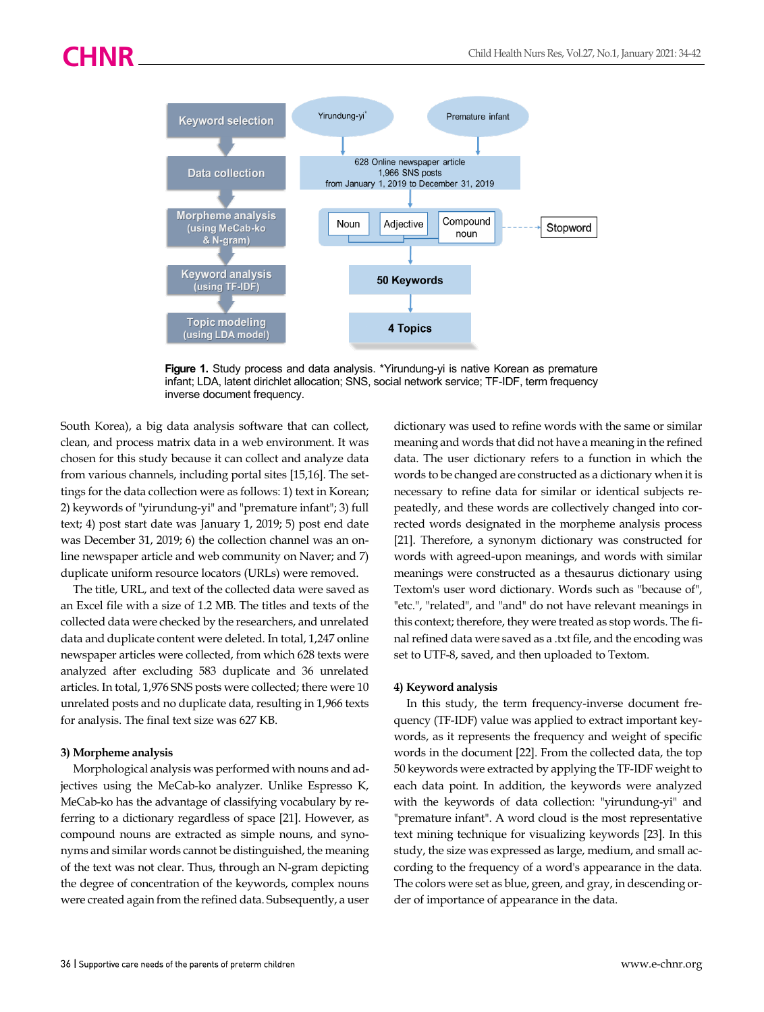

Figure 1. Study process and data analysis. \*Yirundung-yi is native Korean as premature infant; LDA, latent dirichlet allocation; SNS, social network service; TF-IDF, term frequency inverse document frequency.

South Korea), a big data analysis software that can collect, clean, and process matrix data in a web environment. It was chosen for this study because it can collect and analyze data from various channels, including portal sites [15,16]. The settings for the data collection were as follows: 1) text in Korean; 2) keywords of "yirundung-yi" and "premature infant"; 3) full text; 4) post start date was January 1, 2019; 5) post end date was December 31, 2019; 6) the collection channel was an online newspaper article and web community on Naver; and 7) duplicate uniform resource locators (URLs) were removed.

The title, URL, and text of the collected data were saved as an Excel file with a size of 1.2 MB. The titles and texts of the collected data were checked by the researchers, and unrelated data and duplicate content were deleted. In total, 1,247 online newspaper articles were collected, from which 628 texts were analyzed after excluding 583 duplicate and 36 unrelated articles. In total, 1,976 SNS posts were collected; there were 10 unrelated posts and no duplicate data, resulting in 1,966 texts for analysis. The final text size was 627 KB.

#### **3) Morpheme analysis**

Morphological analysis was performed with nouns and adjectives using the MeCab-ko analyzer. Unlike Espresso K, MeCab-ko has the advantage of classifying vocabulary by referring to a dictionary regardless of space [21]. However, as compound nouns are extracted as simple nouns, and synonyms and similar words cannot be distinguished, the meaning of the text was not clear. Thus, through an N-gram depicting the degree of concentration of the keywords, complex nouns were created again from the refined data. Subsequently, a user

dictionary was used to refine words with the same or similar meaning and words that did not have a meaning in the refined data. The user dictionary refers to a function in which the words to be changed are constructed as a dictionary when it is necessary to refine data for similar or identical subjects repeatedly, and these words are collectively changed into corrected words designated in the morpheme analysis process [21]. Therefore, a synonym dictionary was constructed for words with agreed-upon meanings, and words with similar meanings were constructed as a thesaurus dictionary using Textom's user word dictionary. Words such as "because of", "etc.", "related", and "and" do not have relevant meanings in this context; therefore, they were treated as stop words. The final refined data were saved as a .txt file, and the encoding was set to UTF-8, saved, and then uploaded to Textom.

#### **4) Keyword analysis**

In this study, the term frequency-inverse document frequency (TF-IDF) value was applied to extract important keywords, as it represents the frequency and weight of specific words in the document [22]. From the collected data, the top 50 keywords were extracted by applying the TF-IDF weight to each data point. In addition, the keywords were analyzed with the keywords of data collection: "yirundung-yi" and "premature infant". A word cloud is the most representative text mining technique for visualizing keywords [23]. In this study, the size was expressed as large, medium, and small according to the frequency of a word's appearance in the data. The colors were set as blue, green, and gray, in descending order of importance of appearance in the data.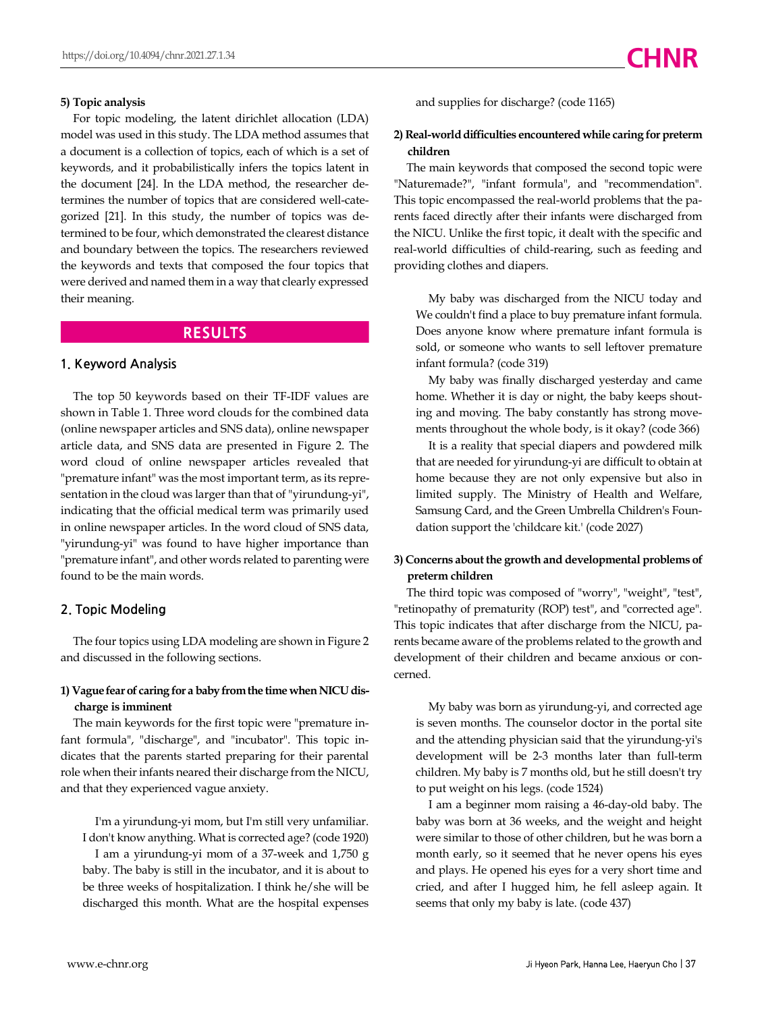#### **5) Topic analysis**

For topic modeling, the latent dirichlet allocation (LDA) model was used in this study. The LDA method assumes that a document is a collection of topics, each of which is a set of keywords, and it probabilistically infers the topics latent in the document [24]. In the LDA method, the researcher determines the number of topics that are considered well-categorized [21]. In this study, the number of topics was determined to be four, which demonstrated the clearest distance and boundary between the topics. The researchers reviewed the keywords and texts that composed the four topics that were derived and named them in a way that clearly expressed their meaning.

### **RESULTS**

#### **1. Keyword Analysis**

The top 50 keywords based on their TF-IDF values are shown in Table 1. Three word clouds for the combined data (online newspaper articles and SNS data), online newspaper article data, and SNS data are presented in Figure 2. The word cloud of online newspaper articles revealed that "premature infant" was the most important term, as its representation in the cloud was larger than that of "yirundung-yi", indicating that the official medical term was primarily used in online newspaper articles. In the word cloud of SNS data, "yirundung-yi" was found to have higher importance than "premature infant", and other words related to parenting were found to be the main words.

#### **2. Topic Modeling**

The four topics using LDA modeling are shown in Figure 2 and discussed in the following sections.

#### **1) Vague fear of caring for a baby from the time when NICU discharge is imminent**

The main keywords for the first topic were "premature infant formula", "discharge", and "incubator". This topic indicates that the parents started preparing for their parental role when their infants neared their discharge from the NICU, and that they experienced vague anxiety.

I'm a yirundung-yi mom, but I'm still very unfamiliar. I don't know anything. What is corrected age? (code 1920) I am a yirundung-yi mom of a 37-week and 1,750 g baby. The baby is still in the incubator, and it is about to be three weeks of hospitalization. I think he/she will be discharged this month. What are the hospital expenses

and supplies for discharge? (code 1165)

#### **2) Real-world difficulties encountered while caring for preterm children**

The main keywords that composed the second topic were "Naturemade?", "infant formula", and "recommendation". This topic encompassed the real-world problems that the parents faced directly after their infants were discharged from the NICU. Unlike the first topic, it dealt with the specific and real-world difficulties of child-rearing, such as feeding and providing clothes and diapers.

My baby was discharged from the NICU today and We couldn't find a place to buy premature infant formula. Does anyone know where premature infant formula is sold, or someone who wants to sell leftover premature infant formula? (code 319)

My baby was finally discharged yesterday and came home. Whether it is day or night, the baby keeps shouting and moving. The baby constantly has strong movements throughout the whole body, is it okay? (code 366)

It is a reality that special diapers and powdered milk that are needed for yirundung-yi are difficult to obtain at home because they are not only expensive but also in limited supply. The Ministry of Health and Welfare, Samsung Card, and the Green Umbrella Children's Foundation support the 'childcare kit.' (code 2027)

#### **3) Concerns about the growth and developmental problems of preterm children**

The third topic was composed of "worry", "weight", "test", "retinopathy of prematurity (ROP) test", and "corrected age". This topic indicates that after discharge from the NICU, parents became aware of the problems related to the growth and development of their children and became anxious or concerned.

My baby was born as yirundung-yi, and corrected age is seven months. The counselor doctor in the portal site and the attending physician said that the yirundung-yi's development will be 2-3 months later than full-term children. My baby is 7 months old, but he still doesn't try to put weight on his legs. (code 1524)

I am a beginner mom raising a 46-day-old baby. The baby was born at 36 weeks, and the weight and height were similar to those of other children, but he was born a month early, so it seemed that he never opens his eyes and plays. He opened his eyes for a very short time and cried, and after I hugged him, he fell asleep again. It seems that only my baby is late. (code 437)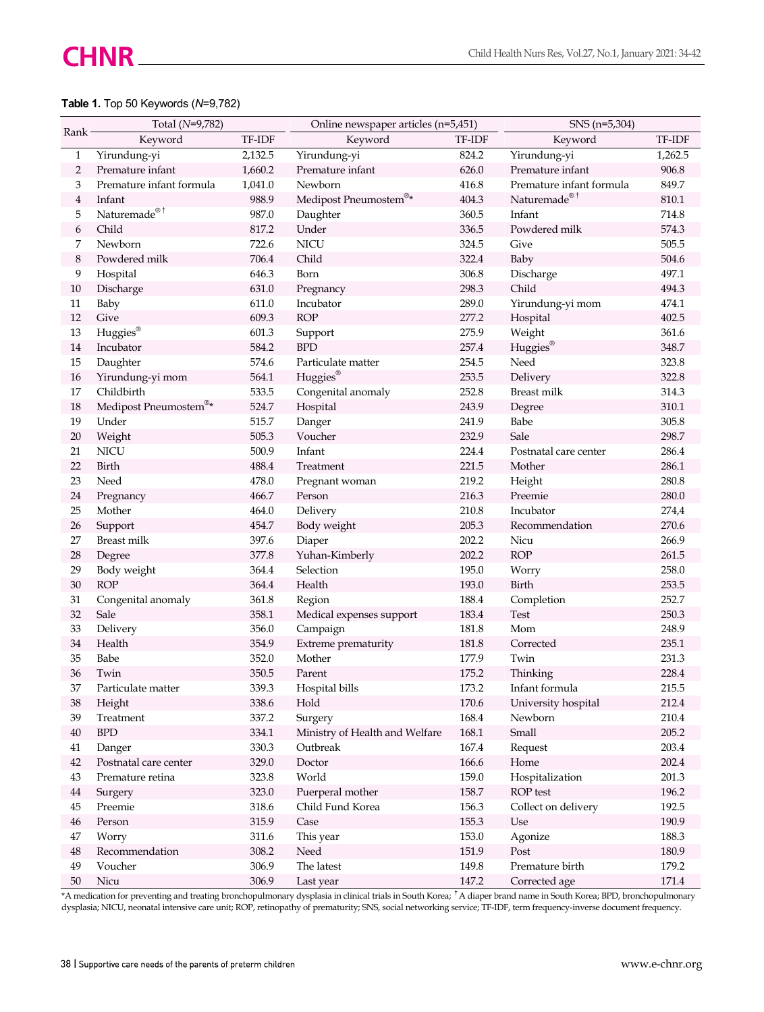### **Table 1.** Top 50 Keywords (*N*=9,782)

| Rank           | Total (N=9,782)          |         | Online newspaper articles (n=5,451) |           | SNS (n=5,304)            |         |
|----------------|--------------------------|---------|-------------------------------------|-----------|--------------------------|---------|
|                | Keyword                  | TF-IDF  | Keyword                             | TF-IDF    | Keyword                  | TF-IDF  |
| 1              | Yirundung-yi             | 2,132.5 | Yirundung-yi                        | 824.2     | Yirundung-yi             | 1,262.5 |
| 2              | Premature infant         | 1,660.2 | Premature infant                    | 626.0     | Premature infant         | 906.8   |
| 3              | Premature infant formula | 1,041.0 | Newborn                             | 416.8     | Premature infant formula | 849.7   |
| $\overline{4}$ | Infant                   | 988.9   | Medipost Pneumostem®*               | 404.3     | Naturemade® <sup>†</sup> | 810.1   |
| 5              | Naturemade® <sup>†</sup> | 987.0   | Daughter                            | 360.5     | Infant                   | 714.8   |
| 6              | Child                    | 817.2   | Under                               | 336.5     | Powdered milk            | 574.3   |
| 7              | Newborn                  | 722.6   | <b>NICU</b>                         | 324.5     | Give                     | 505.5   |
| 8              | Powdered milk            | 706.4   | Child                               | 322.4     | Baby                     | 504.6   |
| 9              | Hospital                 | 646.3   | Born                                | 306.8     | Discharge                | 497.1   |
| 10             | Discharge                | 631.0   | Pregnancy                           | 298.3     | Child                    | 494.3   |
| 11             | Baby                     | 611.0   | Incubator                           | 289.0     | Yirundung-yi mom         | 474.1   |
| 12             | Give                     | 609.3   | <b>ROP</b>                          | 277.2     | Hospital                 | 402.5   |
| 13             | Huggies®                 | 601.3   | Support                             | 275.9     | Weight                   | 361.6   |
| 14             | Incubator                | 584.2   | <b>BPD</b>                          | 257.4     | Huggies®                 | 348.7   |
| 15             | Daughter                 | 574.6   | Particulate matter                  | 254.5     | Need                     | 323.8   |
| 16             | Yirundung-yi mom         | 564.1   | Huggies®                            | 253.5     | Delivery                 | 322.8   |
| 17             | Childbirth               | 533.5   | Congenital anomaly                  | 252.8     | Breast milk              | 314.3   |
| 18             | Medipost Pneumostem®*    | 524.7   | Hospital                            | 243.9     | Degree                   | 310.1   |
| 19             | Under                    | 515.7   | Danger                              | 241.9     | Babe                     | 305.8   |
| 20             | Weight                   | 505.3   | Voucher                             | 232.9     | Sale                     | 298.7   |
| 21             | NICU                     | 500.9   | Infant                              | 224.4     | Postnatal care center    | 286.4   |
| 22             | Birth                    | 488.4   | Treatment                           | 221.5     | Mother                   | 286.1   |
| 23             | Need                     | 478.0   | Pregnant woman                      | 219.2     | Height                   | 280.8   |
| 24             | Pregnancy                | 466.7   | Person                              | 216.3     | Preemie                  | 280.0   |
| 25             | Mother                   | 464.0   | Delivery                            | 210.8     | Incubator                | 274,4   |
| 26             | Support                  | 454.7   | Body weight                         | 205.3     | Recommendation           | 270.6   |
| 27             | <b>Breast milk</b>       | 397.6   | Diaper                              | 202.2     | Nicu                     | 266.9   |
| 28             | Degree                   | 377.8   | Yuhan-Kimberly                      | 202.2     | <b>ROP</b>               | 261.5   |
| 29             | Body weight              | 364.4   | Selection                           | 195.0     | Worry                    | 258.0   |
| $30\,$         | <b>ROP</b>               | 364.4   | Health                              | 193.0     | Birth                    | 253.5   |
| 31             | Congenital anomaly       | 361.8   | Region                              | 188.4     | Completion               | 252.7   |
| 32             | Sale                     | 358.1   | Medical expenses support            | 183.4     | Test                     | 250.3   |
| 33             | Delivery                 | 356.0   | Campaign                            | 181.8     | Mom                      | 248.9   |
| 34             | Health                   | 354.9   | Extreme prematurity                 | 181.8     | Corrected                | 235.1   |
| 35             | Babe                     | 352.0   | Mother                              | 177.9     | Twin                     | 231.3   |
| 36             | Twin                     | 350.5   | Parent                              | 175.2     | Thinking                 | 228.4   |
| 37             | Particulate matter       | 339.3   | Hospital bills                      | 173.2     | Infant formula           | 215.5   |
| 38             | Height                   | 338.6   | $\operatorname{Hold}$               | $170.6\,$ | University hospital      | 212.4   |
| 39             | Treatment                | 337.2   | Surgery                             | 168.4     | Newborn                  | 210.4   |
| $40\,$         | BPD                      | 334.1   | Ministry of Health and Welfare      | $168.1\,$ | Small                    | 205.2   |
| 41             | Danger                   | 330.3   | Outbreak                            | 167.4     | Request                  | 203.4   |
| 42             | Postnatal care center    | 329.0   | Doctor                              | 166.6     | Home                     | 202.4   |
| 43             | Premature retina         | 323.8   | World                               | 159.0     | Hospitalization          | 201.3   |
| $\bf 44$       | Surgery                  | 323.0   | Puerperal mother                    | 158.7     | ROP test                 | 196.2   |
| 45             | Preemie                  | 318.6   | Child Fund Korea                    | 156.3     | Collect on delivery      | 192.5   |
| 46             | Person                   | 315.9   | Case                                | 155.3     | Use                      | 190.9   |
| 47             | Worry                    | 311.6   | This year                           | 153.0     | Agonize                  | 188.3   |
| $\rm 48$       | Recommendation           | 308.2   | Need                                | 151.9     | Post                     | 180.9   |
| 49             | Voucher                  | 306.9   | The latest                          | 149.8     | Premature birth          | 179.2   |
| 50             | Nicu                     | 306.9   | Last year                           | 147.2     | Corrected age            | 171.4   |

\*A medication for preventing and treating bronchopulmonary dysplasia in clinical trials in South Korea; <sup>†</sup>A diaper brand name in South Korea; BPD, bronchopulmonary dysplasia; NICU, neonatal intensive care unit; ROP, retinopathy of prematurity; SNS, social networking service; TF-IDF, term frequency-inverse document frequency.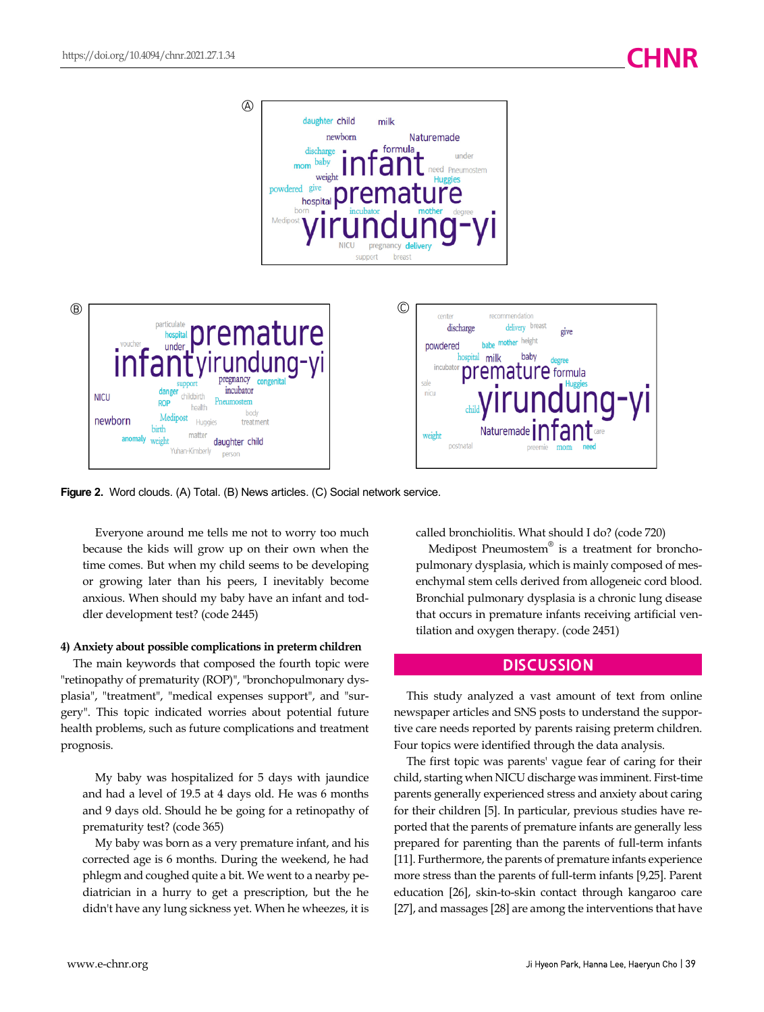

**Figure 2.** Word clouds. (A) Total. (B) News articles. (C) Social network service.

Everyone around me tells me not to worry too much because the kids will grow up on their own when the time comes. But when my child seems to be developing or growing later than his peers, I inevitably become anxious. When should my baby have an infant and toddler development test? (code 2445)

#### **4) Anxiety about possible complications in preterm children**

The main keywords that composed the fourth topic were "retinopathy of prematurity (ROP)", "bronchopulmonary dysplasia", "treatment", "medical expenses support", and "surgery". This topic indicated worries about potential future health problems, such as future complications and treatment prognosis.

My baby was hospitalized for 5 days with jaundice and had a level of 19.5 at 4 days old. He was 6 months and 9 days old. Should he be going for a retinopathy of prematurity test? (code 365)

My baby was born as a very premature infant, and his corrected age is 6 months. During the weekend, he had phlegm and coughed quite a bit. We went to a nearby pediatrician in a hurry to get a prescription, but the he didn't have any lung sickness yet. When he wheezes, it is

called bronchiolitis. What should I do? (code 720)

Medipost Pneumostem® is a treatment for bronchopulmonary dysplasia, which is mainly composed of mesenchymal stem cells derived from allogeneic cord blood. Bronchial pulmonary dysplasia is a chronic lung disease that occurs in premature infants receiving artificial ventilation and oxygen therapy. (code 2451)

#### **DISCUSSION**

This study analyzed a vast amount of text from online newspaper articles and SNS posts to understand the supportive care needs reported by parents raising preterm children. Four topics were identified through the data analysis.

The first topic was parents' vague fear of caring for their child, starting when NICU discharge was imminent. First-time parents generally experienced stress and anxiety about caring for their children [5]. In particular, previous studies have reported that the parents of premature infants are generally less prepared for parenting than the parents of full-term infants [11]. Furthermore, the parents of premature infants experience more stress than the parents of full-term infants [9,25]. Parent education [26], skin-to-skin contact through kangaroo care [27], and massages [28] are among the interventions that have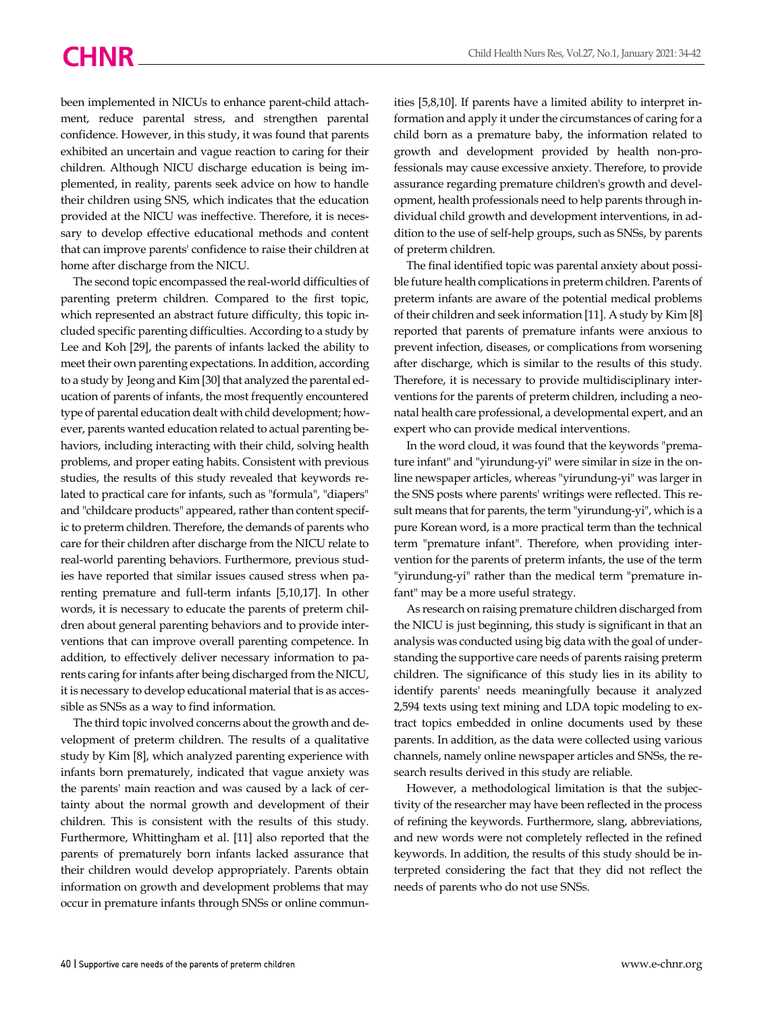been implemented in NICUs to enhance parent-child attachment, reduce parental stress, and strengthen parental confidence. However, in this study, it was found that parents exhibited an uncertain and vague reaction to caring for their children. Although NICU discharge education is being implemented, in reality, parents seek advice on how to handle their children using SNS, which indicates that the education provided at the NICU was ineffective. Therefore, it is necessary to develop effective educational methods and content that can improve parents' confidence to raise their children at home after discharge from the NICU.

The second topic encompassed the real-world difficulties of parenting preterm children. Compared to the first topic, which represented an abstract future difficulty, this topic included specific parenting difficulties. According to a study by Lee and Koh [29], the parents of infants lacked the ability to meet their own parenting expectations. In addition, according to a study by Jeong and Kim [30] that analyzed the parental education of parents of infants, the most frequently encountered type of parental education dealt with child development; however, parents wanted education related to actual parenting behaviors, including interacting with their child, solving health problems, and proper eating habits. Consistent with previous studies, the results of this study revealed that keywords related to practical care for infants, such as "formula", "diapers" and "childcare products" appeared, rather than content specific to preterm children. Therefore, the demands of parents who care for their children after discharge from the NICU relate to real-world parenting behaviors. Furthermore, previous studies have reported that similar issues caused stress when parenting premature and full-term infants [5,10,17]. In other words, it is necessary to educate the parents of preterm children about general parenting behaviors and to provide interventions that can improve overall parenting competence. In addition, to effectively deliver necessary information to parents caring for infants after being discharged from the NICU, it is necessary to develop educational material that is as accessible as SNSs as a way to find information.

The third topic involved concerns about the growth and development of preterm children. The results of a qualitative study by Kim [8], which analyzed parenting experience with infants born prematurely, indicated that vague anxiety was the parents' main reaction and was caused by a lack of certainty about the normal growth and development of their children. This is consistent with the results of this study. Furthermore, Whittingham et al. [11] also reported that the parents of prematurely born infants lacked assurance that their children would develop appropriately. Parents obtain information on growth and development problems that may occur in premature infants through SNSs or online communities [5,8,10]. If parents have a limited ability to interpret information and apply it under the circumstances of caring for a child born as a premature baby, the information related to growth and development provided by health non-professionals may cause excessive anxiety. Therefore, to provide assurance regarding premature children's growth and development, health professionals need to help parents through individual child growth and development interventions, in addition to the use of self-help groups, such as SNSs, by parents of preterm children.

The final identified topic was parental anxiety about possible future health complications in preterm children. Parents of preterm infants are aware of the potential medical problems of their children and seek information [11]. A study by Kim [8] reported that parents of premature infants were anxious to prevent infection, diseases, or complications from worsening after discharge, which is similar to the results of this study. Therefore, it is necessary to provide multidisciplinary interventions for the parents of preterm children, including a neonatal health care professional, a developmental expert, and an expert who can provide medical interventions.

In the word cloud, it was found that the keywords "premature infant" and "yirundung-yi" were similar in size in the online newspaper articles, whereas "yirundung-yi" was larger in the SNS posts where parents' writings were reflected. This result means that for parents, the term "yirundung-yi", which is a pure Korean word, is a more practical term than the technical term "premature infant". Therefore, when providing intervention for the parents of preterm infants, the use of the term "yirundung-yi" rather than the medical term "premature infant" may be a more useful strategy.

As research on raising premature children discharged from the NICU is just beginning, this study is significant in that an analysis was conducted using big data with the goal of understanding the supportive care needs of parents raising preterm children. The significance of this study lies in its ability to identify parents' needs meaningfully because it analyzed 2,594 texts using text mining and LDA topic modeling to extract topics embedded in online documents used by these parents. In addition, as the data were collected using various channels, namely online newspaper articles and SNSs, the research results derived in this study are reliable.

However, a methodological limitation is that the subjectivity of the researcher may have been reflected in the process of refining the keywords. Furthermore, slang, abbreviations, and new words were not completely reflected in the refined keywords. In addition, the results of this study should be interpreted considering the fact that they did not reflect the needs of parents who do not use SNSs.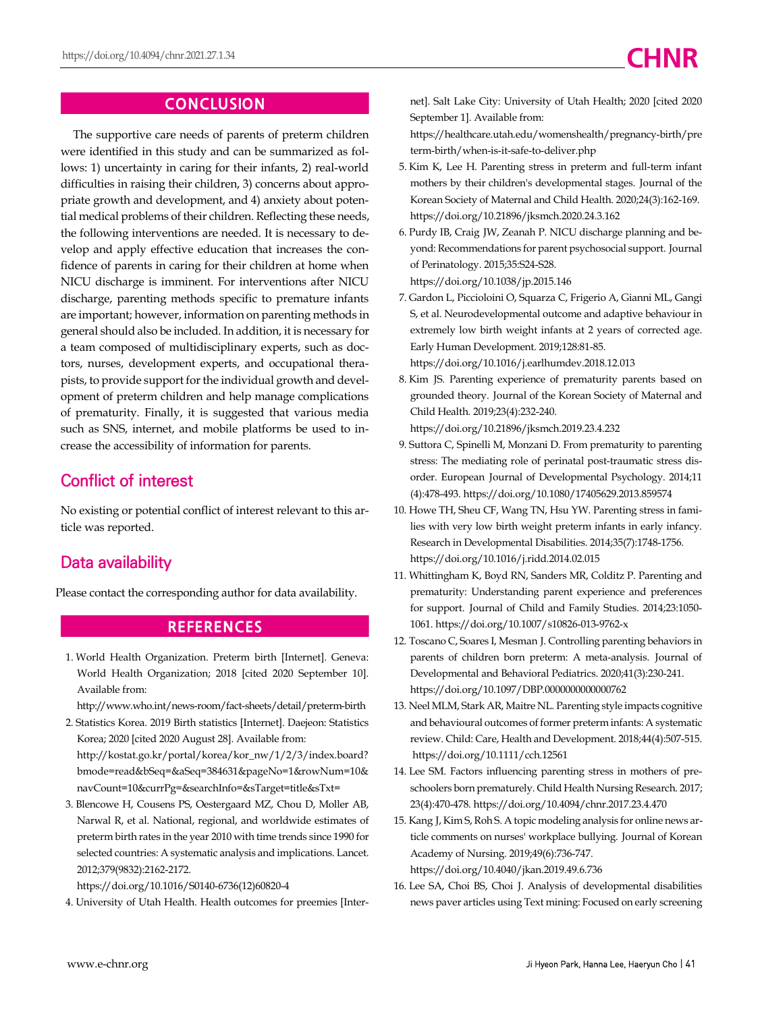## **CONCLUSION**

The supportive care needs of parents of preterm children were identified in this study and can be summarized as follows: 1) uncertainty in caring for their infants, 2) real-world difficulties in raising their children, 3) concerns about appropriate growth and development, and 4) anxiety about potential medical problems of their children. Reflecting these needs, the following interventions are needed. It is necessary to develop and apply effective education that increases the confidence of parents in caring for their children at home when NICU discharge is imminent. For interventions after NICU discharge, parenting methods specific to premature infants are important; however, information on parenting methods in general should also be included. In addition, it is necessary for a team composed of multidisciplinary experts, such as doctors, nurses, development experts, and occupational therapists, to provide support for the individual growth and development of preterm children and help manage complications of prematurity. Finally, it is suggested that various media such as SNS, internet, and mobile platforms be used to increase the accessibility of information for parents.

# **Conflict of interest**

No existing or potential conflict of interest relevant to this article was reported.

# **Data availability**

Please contact the corresponding author for data availability.

#### **REFERENCES**

1. World Health Organization. Preterm birth [Internet]. Geneva: World Health Organization; 2018 [cited 2020 September 10]. Available from:

http://www.who.int/news-room/fact-sheets/detail/preterm-birth

- 2. Statistics Korea. 2019 Birth statistics [Internet]. Daejeon: Statistics Korea; 2020 [cited 2020 August 28]. Available from: http://kostat.go.kr/portal/korea/kor\_nw/1/2/3/index.board? [bmode=read&bSeq=&aSeq=384631&pageNo=1&rowNum=10&](http://kostat.go.kr/portal/korea/kor_nw/1/2/3/index.board?bmode=read&bSeq=&aSeq=384631&pageNo=1&rowNum=10&navCount=10&currPg=&searchInfo=&sTarget=title&sTxt=) navCount=10&currPg=&searchInfo=&sTarget=title&sTxt=
- 3. Blencowe H, Cousens PS, Oestergaard MZ, Chou D, Moller AB, Narwal R, et al. National, regional, and worldwide estimates of preterm birth rates in the year 2010 with time trends since 1990 for selected countries: A systematic analysis and implications. Lancet. 2012;379(9832):2162-2172.

[https://doi.org/10.1016/S0140-6736\(12\)60820-4](https://doi.org/10.1016/S0140-6736(12)60820-4)

4. University of Utah Health. Health outcomes for preemies [Inter-

net]. Salt Lake City: University of Utah Health; 2020 [cited 2020 September 1]. Available from:

[https://healthcare.utah.edu/womenshealth/pregnancy-birth/pre](https://healthcare.utah.edu/womenshealth/pregnancy-birth/preterm-birth/when-is-it-safe-to-deliver.php) term-birth/when-is-it-safe-to-deliver.php

- 5. Kim K, Lee H. Parenting stress in preterm and full-term infant mothers by their children's developmental stages. Journal of the Korean Society of Maternal and Child Health. 2020;24(3):162-169. https://doi.org/10.21896/jksmch.2020.24.3.162
- 6. Purdy IB, Craig JW, Zeanah P. NICU discharge planning and beyond: Recommendations for parent psychosocial support. Journal of Perinatology. 2015;35:S24-S28. https://doi.org/10.1038/jp.2015.146
- 7. Gardon L, Piccioloini O, Squarza C, Frigerio A, Gianni ML, Gangi S, et al. Neurodevelopmental outcome and adaptive behaviour in extremely low birth weight infants at 2 years of corrected age. Early Human Development. 2019;128:81-85.

https://doi.org/10.1016/j.earlhumdev.2018.12.013

8. Kim JS. Parenting experience of prematurity parents based on grounded theory. Journal of the Korean Society of Maternal and Child Health. 2019;23(4):232-240.

https://doi.org/10.21896/jksmch.2019.23.4.232

- 9. Suttora C, Spinelli M, Monzani D. From prematurity to parenting stress: The mediating role of perinatal post-traumatic stress disorder. European Journal of Developmental Psychology. 2014;11 (4):478-493. https://doi.org/10.1080/17405629.2013.859574
- 10. Howe TH, Sheu CF, Wang TN, Hsu YW. Parenting stress in families with very low birth weight preterm infants in early infancy. Research in Developmental Disabilities. 2014;35(7):1748-1756. https://doi.org/10.1016/j.ridd.2014.02.015
- 11. Whittingham K, Boyd RN, Sanders MR, Colditz P. Parenting and prematurity: Understanding parent experience and preferences for support. Journal of Child and Family Studies. 2014;23:1050- 1061. https://doi.org/10.1007/s10826-013-9762-x
- 12. Toscano C, Soares I, Mesman J. Controlling parenting behaviors in parents of children born preterm: A meta-analysis. Journal of Developmental and Behavioral Pediatrics. 2020;41(3):230-241. https://doi.org/10.1097/DBP.0000000000000762
- 13. Neel MLM, Stark AR, Maitre NL. Parenting style impacts cognitive and behavioural outcomes of former preterm infants: A systematic review. Child: Care, Health and Development. 2018;44(4):507-515. https://doi.org/10.1111/cch.12561
- 14. Lee SM. Factors influencing parenting stress in mothers of preschoolers born prematurely. Child Health Nursing Research. 2017; 23(4):470-478. https://doi.org/10.4094/chnr.2017.23.4.470
- 15. Kang J, Kim S, Roh S. A topic modeling analysis for online news article comments on nurses' workplace bullying. Journal of Korean Academy of Nursing. 2019;49(6):736-747. https://doi.org/10.4040/jkan.2019.49.6.736
- 16. Lee SA, Choi BS, Choi J. Analysis of developmental disabilities news paver articles using Text mining: Focused on early screening